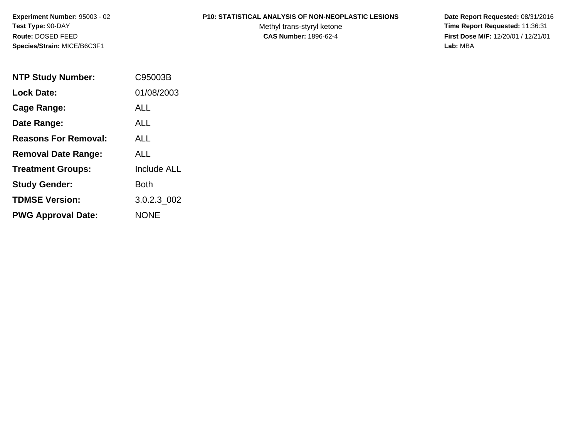**Experiment Number:** 95003 - 02**Test Type:** 90-DAY**Route:** DOSED FEED**Species/Strain:** MICE/B6C3F1

#### **P10: STATISTICAL ANALYSIS OF NON-NEOPLASTIC LESIONS**

Methyl trans-styryl ketone<br>CAS Number: 1896-62-4

 **Date Report Requested:** 08/31/2016 **Time Report Requested:** 11:36:31 **First Dose M/F:** 12/20/01 / 12/21/01<br>Lab: MBA **Lab:** MBA

| <b>NTP Study Number:</b>    | C95003B            |
|-----------------------------|--------------------|
| <b>Lock Date:</b>           | 01/08/2003         |
| Cage Range:                 | ALL                |
| Date Range:                 | AI I               |
| <b>Reasons For Removal:</b> | AI I               |
| <b>Removal Date Range:</b>  | ALL                |
| <b>Treatment Groups:</b>    | <b>Include ALL</b> |
| <b>Study Gender:</b>        | Both               |
| <b>TDMSE Version:</b>       | 3.0.2.3 002        |
| <b>PWG Approval Date:</b>   | <b>NONE</b>        |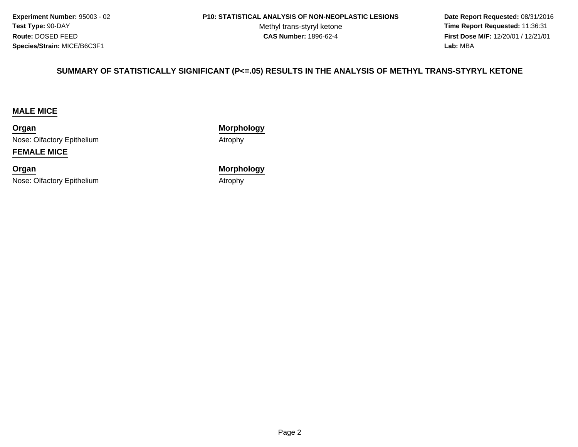**Experiment Number:** 95003 - 02**Test Type:** 90-DAY**Route:** DOSED FEED**Species/Strain:** MICE/B6C3F1

Methyl trans-styryl ketone<br>CAS Number: 1896-62-4

 **Date Report Requested:** 08/31/2016 **Time Report Requested:** 11:36:31 **First Dose M/F:** 12/20/01 / 12/21/01<br>**Lab:** MBA **Lab:** MBA

#### **SUMMARY OF STATISTICALLY SIGNIFICANT (P<=.05) RESULTS IN THE ANALYSIS OF METHYL TRANS-STYRYL KETONE**

#### **MALE MICE**

**Organ**Nose: Olfactory Epithelium

#### **FEMALE MICE**

**Organ**Nose: Olfactory Epithelium **Morphology**

Atrophy

 **Morphology** Atrophy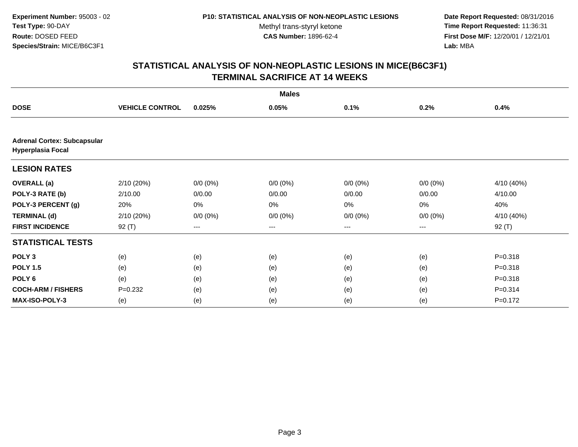**Date Report Requested:** 08/31/2016 **Time Report Requested:** 11:36:31 **First Dose M/F:** 12/20/01 / 12/21/01<br>**Lab:** MBA **Lab:** MBA

|                                                                | <b>Males</b>           |             |             |             |             |             |  |
|----------------------------------------------------------------|------------------------|-------------|-------------|-------------|-------------|-------------|--|
| <b>DOSE</b>                                                    | <b>VEHICLE CONTROL</b> | 0.025%      | 0.05%       | 0.1%        | 0.2%        | 0.4%        |  |
|                                                                |                        |             |             |             |             |             |  |
| <b>Adrenal Cortex: Subcapsular</b><br><b>Hyperplasia Focal</b> |                        |             |             |             |             |             |  |
| <b>LESION RATES</b>                                            |                        |             |             |             |             |             |  |
| <b>OVERALL</b> (a)                                             | 2/10(20%)              | $0/0 (0\%)$ | $0/0 (0\%)$ | $0/0 (0\%)$ | $0/0 (0\%)$ | 4/10 (40%)  |  |
| POLY-3 RATE (b)                                                | 2/10.00                | 0/0.00      | 0/0.00      | 0/0.00      | 0/0.00      | 4/10.00     |  |
| POLY-3 PERCENT (g)                                             | 20%                    | 0%          | 0%          | 0%          | 0%          | 40%         |  |
| <b>TERMINAL (d)</b>                                            | 2/10 (20%)             | $0/0 (0\%)$ | $0/0 (0\%)$ | $0/0 (0\%)$ | $0/0 (0\%)$ | 4/10 (40%)  |  |
| <b>FIRST INCIDENCE</b>                                         | $92($ T)               | ---         | ---         | $\cdots$    | $\cdots$    | $92($ T)    |  |
| <b>STATISTICAL TESTS</b>                                       |                        |             |             |             |             |             |  |
| POLY <sub>3</sub>                                              | (e)                    | (e)         | (e)         | (e)         | (e)         | $P = 0.318$ |  |
| <b>POLY 1.5</b>                                                | (e)                    | (e)         | (e)         | (e)         | (e)         | $P = 0.318$ |  |
| POLY 6                                                         | (e)                    | (e)         | (e)         | (e)         | (e)         | $P = 0.318$ |  |
| <b>COCH-ARM / FISHERS</b>                                      | $P=0.232$              | (e)         | (e)         | (e)         | (e)         | $P = 0.314$ |  |
| <b>MAX-ISO-POLY-3</b>                                          | (e)                    | (e)         | (e)         | (e)         | (e)         | $P = 0.172$ |  |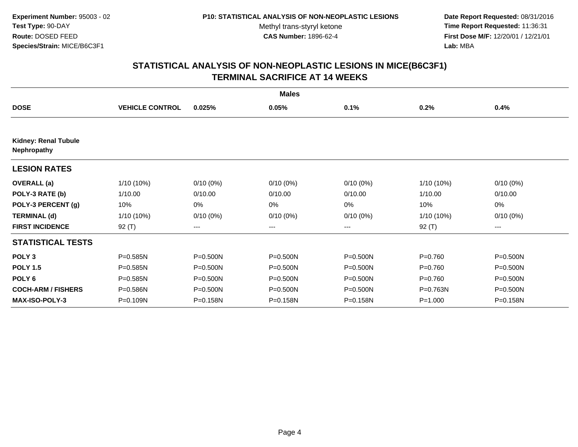**Date Report Requested:** 08/31/2016 **Time Report Requested:** 11:36:31 **First Dose M/F:** 12/20/01 / 12/21/01<br>**Lab:** MBA **Lab:** MBA

| <b>Males</b>                                      |                        |              |              |              |              |             |  |
|---------------------------------------------------|------------------------|--------------|--------------|--------------|--------------|-------------|--|
| <b>DOSE</b>                                       | <b>VEHICLE CONTROL</b> | 0.025%       | 0.05%        | 0.1%         | 0.2%         | 0.4%        |  |
|                                                   |                        |              |              |              |              |             |  |
| <b>Kidney: Renal Tubule</b><br><b>Nephropathy</b> |                        |              |              |              |              |             |  |
| <b>LESION RATES</b>                               |                        |              |              |              |              |             |  |
| <b>OVERALL</b> (a)                                | $1/10(10\%)$           | $0/10(0\%)$  | $0/10(0\%)$  | $0/10(0\%)$  | $1/10(10\%)$ | $0/10(0\%)$ |  |
| POLY-3 RATE (b)                                   | 1/10.00                | 0/10.00      | 0/10.00      | 0/10.00      | 1/10.00      | 0/10.00     |  |
| POLY-3 PERCENT (g)                                | 10%                    | 0%           | 0%           | 0%           | 10%          | 0%          |  |
| <b>TERMINAL (d)</b>                               | $1/10(10\%)$           | $0/10(0\%)$  | $0/10(0\%)$  | $0/10(0\%)$  | $1/10(10\%)$ | $0/10(0\%)$ |  |
| <b>FIRST INCIDENCE</b>                            | 92 $(T)$               | $---$        | ---          | ---          | $92($ T)     | $\cdots$    |  |
| <b>STATISTICAL TESTS</b>                          |                        |              |              |              |              |             |  |
| POLY <sub>3</sub>                                 | P=0.585N               | P=0.500N     | P=0.500N     | P=0.500N     | $P = 0.760$  | P=0.500N    |  |
| <b>POLY 1.5</b>                                   | $P = 0.585N$           | $P = 0.500N$ | $P = 0.500N$ | $P = 0.500N$ | $P=0.760$    | P=0.500N    |  |
| POLY <sub>6</sub>                                 | $P = 0.585N$           | $P = 0.500N$ | $P = 0.500N$ | $P = 0.500N$ | $P=0.760$    | P=0.500N    |  |
| <b>COCH-ARM / FISHERS</b>                         | P=0.586N               | P=0.500N     | P=0.500N     | P=0.500N     | P=0.763N     | P=0.500N    |  |
| MAX-ISO-POLY-3                                    | P=0.109N               | P=0.158N     | P=0.158N     | P=0.158N     | $P = 1.000$  | P=0.158N    |  |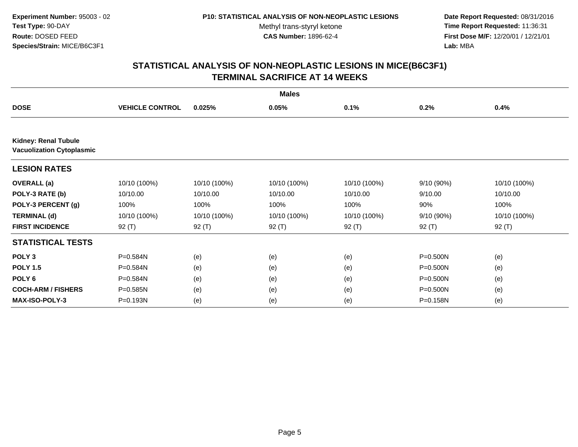**Date Report Requested:** 08/31/2016 **Time Report Requested:** 11:36:31 **First Dose M/F:** 12/20/01 / 12/21/01<br>**Lab:** MBA **Lab:** MBA

| <b>Males</b>                                                    |                        |              |              |              |              |              |
|-----------------------------------------------------------------|------------------------|--------------|--------------|--------------|--------------|--------------|
| <b>DOSE</b>                                                     | <b>VEHICLE CONTROL</b> | 0.025%       | 0.05%        | 0.1%         | 0.2%         | 0.4%         |
|                                                                 |                        |              |              |              |              |              |
| <b>Kidney: Renal Tubule</b><br><b>Vacuolization Cytoplasmic</b> |                        |              |              |              |              |              |
| <b>LESION RATES</b>                                             |                        |              |              |              |              |              |
| <b>OVERALL</b> (a)                                              | 10/10 (100%)           | 10/10 (100%) | 10/10 (100%) | 10/10 (100%) | $9/10(90\%)$ | 10/10 (100%) |
| POLY-3 RATE (b)                                                 | 10/10.00               | 10/10.00     | 10/10.00     | 10/10.00     | 9/10.00      | 10/10.00     |
| POLY-3 PERCENT (g)                                              | 100%                   | 100%         | 100%         | 100%         | 90%          | 100%         |
| <b>TERMINAL (d)</b>                                             | 10/10 (100%)           | 10/10 (100%) | 10/10 (100%) | 10/10 (100%) | 9/10(90%)    | 10/10 (100%) |
| <b>FIRST INCIDENCE</b>                                          | $92($ T)               | 92 (T)       | 92 (T)       | 92 $(T)$     | $92($ T)     | $92($ T)     |
| <b>STATISTICAL TESTS</b>                                        |                        |              |              |              |              |              |
| POLY <sub>3</sub>                                               | P=0.584N               | (e)          | (e)          | (e)          | P=0.500N     | (e)          |
| <b>POLY 1.5</b>                                                 | P=0.584N               | (e)          | (e)          | (e)          | P=0.500N     | (e)          |
| POLY 6                                                          | P=0.584N               | (e)          | (e)          | (e)          | P=0.500N     | (e)          |
| <b>COCH-ARM / FISHERS</b>                                       | P=0.585N               | (e)          | (e)          | (e)          | P=0.500N     | (e)          |
| <b>MAX-ISO-POLY-3</b>                                           | P=0.193N               | (e)          | (e)          | (e)          | P=0.158N     | (e)          |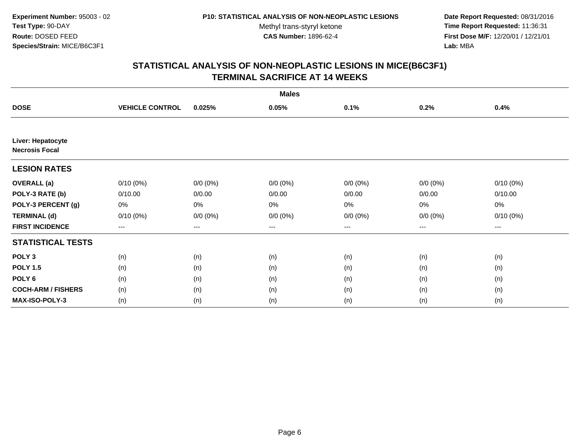**Date Report Requested:** 08/31/2016 **Time Report Requested:** 11:36:31 **First Dose M/F:** 12/20/01 / 12/21/01<br>**Lab:** MBA **Lab:** MBA

| <b>Males</b>                               |                        |                   |             |             |             |             |  |
|--------------------------------------------|------------------------|-------------------|-------------|-------------|-------------|-------------|--|
| <b>DOSE</b>                                | <b>VEHICLE CONTROL</b> | 0.025%            | 0.05%       | 0.1%        | 0.2%        | 0.4%        |  |
|                                            |                        |                   |             |             |             |             |  |
| Liver: Hepatocyte<br><b>Necrosis Focal</b> |                        |                   |             |             |             |             |  |
| <b>LESION RATES</b>                        |                        |                   |             |             |             |             |  |
| <b>OVERALL</b> (a)                         | $0/10(0\%)$            | $0/0 (0\%)$       | $0/0 (0\%)$ | $0/0 (0\%)$ | $0/0(0\%)$  | $0/10(0\%)$ |  |
| POLY-3 RATE (b)                            | 0/10.00                | 0/0.00            | 0/0.00      | 0/0.00      | 0/0.00      | 0/10.00     |  |
| POLY-3 PERCENT (g)                         | 0%                     | 0%                | 0%          | 0%          | 0%          | 0%          |  |
| <b>TERMINAL (d)</b>                        | $0/10(0\%)$            | $0/0 (0\%)$       | $0/0 (0\%)$ | $0/0 (0\%)$ | $0/0 (0\%)$ | $0/10(0\%)$ |  |
| <b>FIRST INCIDENCE</b>                     | $\qquad \qquad -$      | $\qquad \qquad -$ | $---$       | ---         | $\cdots$    | ---         |  |
| <b>STATISTICAL TESTS</b>                   |                        |                   |             |             |             |             |  |
| POLY <sub>3</sub>                          | (n)                    | (n)               | (n)         | (n)         | (n)         | (n)         |  |
| <b>POLY 1.5</b>                            | (n)                    | (n)               | (n)         | (n)         | (n)         | (n)         |  |
| POLY <sub>6</sub>                          | (n)                    | (n)               | (n)         | (n)         | (n)         | (n)         |  |
| <b>COCH-ARM / FISHERS</b>                  | (n)                    | (n)               | (n)         | (n)         | (n)         | (n)         |  |
| <b>MAX-ISO-POLY-3</b>                      | (n)                    | (n)               | (n)         | (n)         | (n)         | (n)         |  |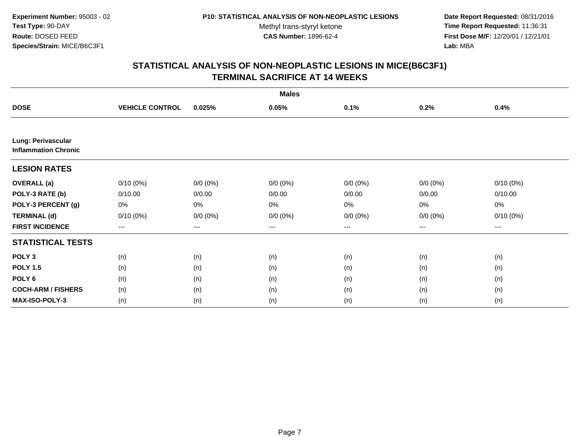**Date Report Requested:** 08/31/2016 **Time Report Requested:** 11:36:31 **First Dose M/F:** 12/20/01 / 12/21/01<br>**Lab:** MBA **Lab:** MBA

| <b>Males</b>                                      |                        |             |             |             |             |             |
|---------------------------------------------------|------------------------|-------------|-------------|-------------|-------------|-------------|
| <b>DOSE</b>                                       | <b>VEHICLE CONTROL</b> | 0.025%      | 0.05%       | 0.1%        | 0.2%        | 0.4%        |
|                                                   |                        |             |             |             |             |             |
| Lung: Perivascular<br><b>Inflammation Chronic</b> |                        |             |             |             |             |             |
| <b>LESION RATES</b>                               |                        |             |             |             |             |             |
| <b>OVERALL</b> (a)                                | $0/10(0\%)$            | $0/0 (0\%)$ | $0/0 (0\%)$ | $0/0 (0\%)$ | $0/0 (0\%)$ | $0/10(0\%)$ |
| POLY-3 RATE (b)                                   | 0/10.00                | 0/0.00      | 0/0.00      | 0/0.00      | 0/0.00      | 0/10.00     |
| POLY-3 PERCENT (g)                                | 0%                     | 0%          | 0%          | 0%          | $0\%$       | 0%          |
| <b>TERMINAL (d)</b>                               | $0/10(0\%)$            | $0/0 (0\%)$ | $0/0 (0\%)$ | $0/0 (0\%)$ | $0/0 (0\%)$ | $0/10(0\%)$ |
| <b>FIRST INCIDENCE</b>                            | $---$                  | $---$       | ---         | $---$       | ---         | ---         |
| <b>STATISTICAL TESTS</b>                          |                        |             |             |             |             |             |
| POLY <sub>3</sub>                                 | (n)                    | (n)         | (n)         | (n)         | (n)         | (n)         |
| <b>POLY 1.5</b>                                   | (n)                    | (n)         | (n)         | (n)         | (n)         | (n)         |
| POLY <sub>6</sub>                                 | (n)                    | (n)         | (n)         | (n)         | (n)         | (n)         |
| <b>COCH-ARM / FISHERS</b>                         | (n)                    | (n)         | (n)         | (n)         | (n)         | (n)         |
| MAX-ISO-POLY-3                                    | (n)                    | (n)         | (n)         | (n)         | (n)         | (n)         |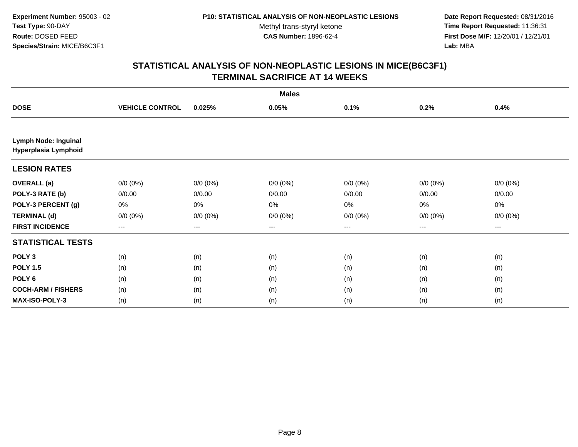**Date Report Requested:** 08/31/2016 **Time Report Requested:** 11:36:31 **First Dose M/F:** 12/20/01 / 12/21/01<br>**Lab:** MBA **Lab:** MBA

|                                              | <b>Males</b>           |                   |             |                        |             |             |  |
|----------------------------------------------|------------------------|-------------------|-------------|------------------------|-------------|-------------|--|
| <b>DOSE</b>                                  | <b>VEHICLE CONTROL</b> | 0.025%            | 0.05%       | 0.1%                   | 0.2%        | 0.4%        |  |
|                                              |                        |                   |             |                        |             |             |  |
| Lymph Node: Inguinal<br>Hyperplasia Lymphoid |                        |                   |             |                        |             |             |  |
| <b>LESION RATES</b>                          |                        |                   |             |                        |             |             |  |
| <b>OVERALL</b> (a)                           | $0/0 (0\%)$            | $0/0 (0\%)$       | $0/0 (0\%)$ | $0/0 (0\%)$            | $0/0 (0\%)$ | $0/0 (0\%)$ |  |
| POLY-3 RATE (b)                              | 0/0.00                 | 0/0.00            | 0/0.00      | 0/0.00                 | 0/0.00      | 0/0.00      |  |
| POLY-3 PERCENT (g)                           | 0%                     | 0%                | 0%          | 0%                     | $0\%$       | 0%          |  |
| <b>TERMINAL (d)</b>                          | $0/0 (0\%)$            | $0/0 (0\%)$       | $0/0 (0\%)$ | $0/0 (0\%)$            | $0/0 (0\%)$ | $0/0 (0\%)$ |  |
| <b>FIRST INCIDENCE</b>                       | ---                    | $\qquad \qquad -$ | ---         | $\qquad \qquad \cdots$ | $---$       | $\cdots$    |  |
| <b>STATISTICAL TESTS</b>                     |                        |                   |             |                        |             |             |  |
| POLY <sub>3</sub>                            | (n)                    | (n)               | (n)         | (n)                    | (n)         | (n)         |  |
| <b>POLY 1.5</b>                              | (n)                    | (n)               | (n)         | (n)                    | (n)         | (n)         |  |
| POLY <sub>6</sub>                            | (n)                    | (n)               | (n)         | (n)                    | (n)         | (n)         |  |
| <b>COCH-ARM / FISHERS</b>                    | (n)                    | (n)               | (n)         | (n)                    | (n)         | (n)         |  |
| MAX-ISO-POLY-3                               | (n)                    | (n)               | (n)         | (n)                    | (n)         | (n)         |  |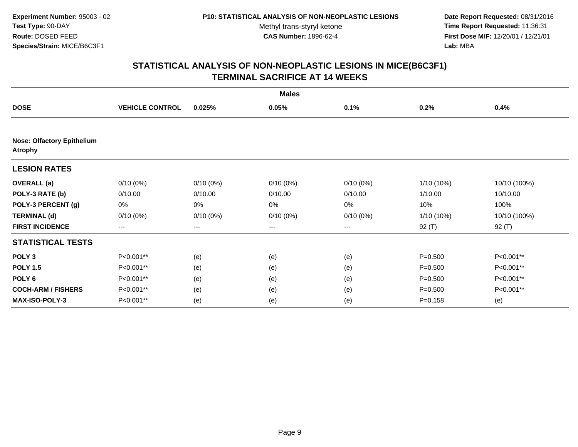**Date Report Requested:** 08/31/2016 **Time Report Requested:** 11:36:31 **First Dose M/F:** 12/20/01 / 12/21/01<br>**Lab:** MBA **Lab:** MBA

| <b>Males</b>                                        |                        |                   |             |             |             |              |  |
|-----------------------------------------------------|------------------------|-------------------|-------------|-------------|-------------|--------------|--|
| <b>DOSE</b>                                         | <b>VEHICLE CONTROL</b> | 0.025%            | 0.05%       | 0.1%        | $0.2\%$     | 0.4%         |  |
| <b>Nose: Olfactory Epithelium</b><br><b>Atrophy</b> |                        |                   |             |             |             |              |  |
| <b>LESION RATES</b>                                 |                        |                   |             |             |             |              |  |
| <b>OVERALL</b> (a)                                  | $0/10(0\%)$            | $0/10(0\%)$       | $0/10(0\%)$ | $0/10(0\%)$ | 1/10 (10%)  | 10/10 (100%) |  |
| POLY-3 RATE (b)                                     | 0/10.00                | 0/10.00           | 0/10.00     | 0/10.00     | 1/10.00     | 10/10.00     |  |
| POLY-3 PERCENT (g)                                  | 0%                     | 0%                | 0%          | 0%          | 10%         | 100%         |  |
| <b>TERMINAL (d)</b>                                 | $0/10(0\%)$            | $0/10(0\%)$       | $0/10(0\%)$ | $0/10(0\%)$ | 1/10 (10%)  | 10/10 (100%) |  |
| <b>FIRST INCIDENCE</b>                              | $--$                   | $\qquad \qquad -$ | ---         | ---         | 92 (T)      | 92 $(T)$     |  |
| <b>STATISTICAL TESTS</b>                            |                        |                   |             |             |             |              |  |
| POLY <sub>3</sub>                                   | P<0.001**              | (e)               | (e)         | (e)         | $P = 0.500$ | P<0.001**    |  |
| <b>POLY 1.5</b>                                     | P<0.001**              | (e)               | (e)         | (e)         | $P = 0.500$ | P<0.001**    |  |
| POLY <sub>6</sub>                                   | P<0.001**              | (e)               | (e)         | (e)         | $P = 0.500$ | P<0.001**    |  |
| <b>COCH-ARM / FISHERS</b>                           | P<0.001**              | (e)               | (e)         | (e)         | $P = 0.500$ | P<0.001**    |  |
| <b>MAX-ISO-POLY-3</b>                               | P<0.001**              | (e)               | (e)         | (e)         | $P = 0.158$ | (e)          |  |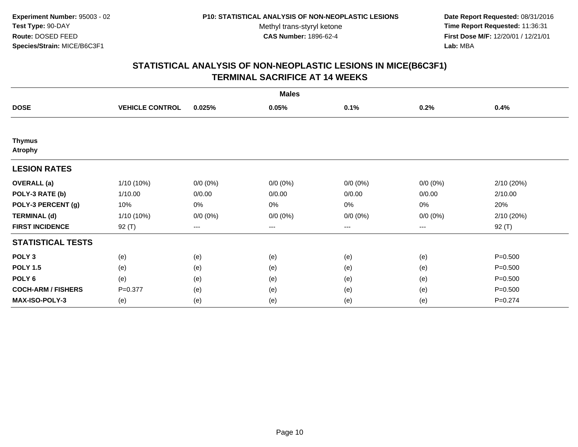**Date Report Requested:** 08/31/2016 **Time Report Requested:** 11:36:31 **First Dose M/F:** 12/20/01 / 12/21/01<br>Lab: MBA **Lab:** MBA

| <b>Males</b>                    |                        |             |             |             |             |             |
|---------------------------------|------------------------|-------------|-------------|-------------|-------------|-------------|
| <b>DOSE</b>                     | <b>VEHICLE CONTROL</b> | 0.025%      | 0.05%       | 0.1%        | 0.2%        | 0.4%        |
|                                 |                        |             |             |             |             |             |
| <b>Thymus</b><br><b>Atrophy</b> |                        |             |             |             |             |             |
| <b>LESION RATES</b>             |                        |             |             |             |             |             |
| <b>OVERALL</b> (a)              | 1/10 (10%)             | $0/0 (0\%)$ | $0/0 (0\%)$ | $0/0 (0\%)$ | $0/0 (0\%)$ | 2/10(20%)   |
| POLY-3 RATE (b)                 | 1/10.00                | 0/0.00      | 0/0.00      | 0/0.00      | 0/0.00      | 2/10.00     |
| POLY-3 PERCENT (g)              | 10%                    | 0%          | 0%          | 0%          | 0%          | 20%         |
| <b>TERMINAL (d)</b>             | 1/10 (10%)             | $0/0 (0\%)$ | $0/0 (0\%)$ | $0/0 (0\%)$ | $0/0 (0\%)$ | 2/10(20%)   |
| <b>FIRST INCIDENCE</b>          | $92($ T)               | $\cdots$    | ---         | $\cdots$    | $\cdots$    | 92 (T)      |
| <b>STATISTICAL TESTS</b>        |                        |             |             |             |             |             |
| POLY <sub>3</sub>               | (e)                    | (e)         | (e)         | (e)         | (e)         | $P = 0.500$ |
| <b>POLY 1.5</b>                 | (e)                    | (e)         | (e)         | (e)         | (e)         | $P = 0.500$ |
| POLY <sub>6</sub>               | (e)                    | (e)         | (e)         | (e)         | (e)         | $P = 0.500$ |
| <b>COCH-ARM / FISHERS</b>       | $P = 0.377$            | (e)         | (e)         | (e)         | (e)         | $P = 0.500$ |
| <b>MAX-ISO-POLY-3</b>           | (e)                    | (e)         | (e)         | (e)         | (e)         | $P = 0.274$ |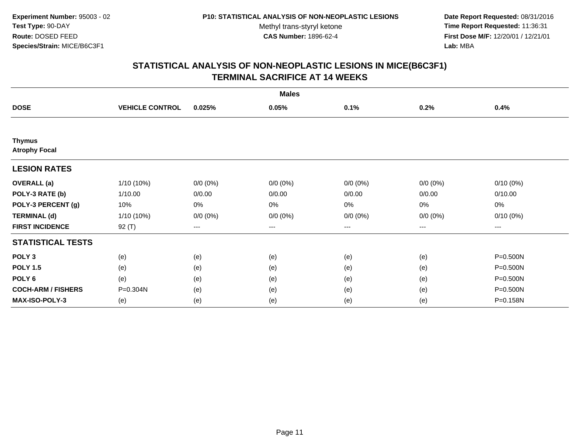**Date Report Requested:** 08/31/2016 **Time Report Requested:** 11:36:31 **First Dose M/F:** 12/20/01 / 12/21/01<br>Lab: MBA **Lab:** MBA

| <b>Males</b>                          |                        |             |             |             |             |              |
|---------------------------------------|------------------------|-------------|-------------|-------------|-------------|--------------|
| <b>DOSE</b>                           | <b>VEHICLE CONTROL</b> | 0.025%      | 0.05%       | 0.1%        | 0.2%        | 0.4%         |
|                                       |                        |             |             |             |             |              |
| <b>Thymus</b><br><b>Atrophy Focal</b> |                        |             |             |             |             |              |
| <b>LESION RATES</b>                   |                        |             |             |             |             |              |
| <b>OVERALL</b> (a)                    | $1/10(10\%)$           | $0/0 (0\%)$ | $0/0 (0\%)$ | $0/0 (0\%)$ | $0/0 (0\%)$ | $0/10(0\%)$  |
| POLY-3 RATE (b)                       | 1/10.00                | 0/0.00      | 0/0.00      | 0/0.00      | 0/0.00      | 0/10.00      |
| POLY-3 PERCENT (g)                    | 10%                    | 0%          | 0%          | 0%          | 0%          | 0%           |
| <b>TERMINAL (d)</b>                   | $1/10(10\%)$           | $0/0 (0\%)$ | $0/0 (0\%)$ | $0/0 (0\%)$ | $0/0 (0\%)$ | $0/10(0\%)$  |
| <b>FIRST INCIDENCE</b>                | 92 (T)                 | ---         | ---         | $--$        | $--$        | ---          |
| <b>STATISTICAL TESTS</b>              |                        |             |             |             |             |              |
| POLY <sub>3</sub>                     | (e)                    | (e)         | (e)         | (e)         | (e)         | P=0.500N     |
| <b>POLY 1.5</b>                       | (e)                    | (e)         | (e)         | (e)         | (e)         | $P = 0.500N$ |
| POLY <sub>6</sub>                     | (e)                    | (e)         | (e)         | (e)         | (e)         | P=0.500N     |
| <b>COCH-ARM / FISHERS</b>             | P=0.304N               | (e)         | (e)         | (e)         | (e)         | P=0.500N     |
| MAX-ISO-POLY-3                        | (e)                    | (e)         | (e)         | (e)         | (e)         | P=0.158N     |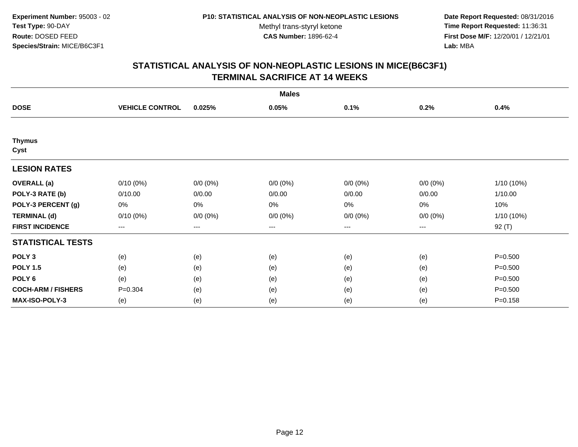**Date Report Requested:** 08/31/2016 **Time Report Requested:** 11:36:31 **First Dose M/F:** 12/20/01 / 12/21/01<br>Lab: MBA **Lab:** MBA

| <b>Males</b>              |                        |             |             |             |             |             |
|---------------------------|------------------------|-------------|-------------|-------------|-------------|-------------|
| <b>DOSE</b>               | <b>VEHICLE CONTROL</b> | 0.025%      | 0.05%       | 0.1%        | 0.2%        | 0.4%        |
|                           |                        |             |             |             |             |             |
| <b>Thymus</b><br>Cyst     |                        |             |             |             |             |             |
| <b>LESION RATES</b>       |                        |             |             |             |             |             |
| <b>OVERALL</b> (a)        | $0/10(0\%)$            | $0/0 (0\%)$ | $0/0 (0\%)$ | $0/0 (0\%)$ | $0/0 (0\%)$ | 1/10 (10%)  |
| POLY-3 RATE (b)           | 0/10.00                | 0/0.00      | 0/0.00      | 0/0.00      | 0/0.00      | 1/10.00     |
| POLY-3 PERCENT (g)        | 0%                     | $0\%$       | 0%          | 0%          | 0%          | 10%         |
| <b>TERMINAL (d)</b>       | $0/10(0\%)$            | $0/0 (0\%)$ | $0/0 (0\%)$ | $0/0 (0\%)$ | $0/0 (0\%)$ | 1/10 (10%)  |
| <b>FIRST INCIDENCE</b>    | $\cdots$               | $\cdots$    | $\cdots$    | $\cdots$    | $\cdots$    | 92 (T)      |
| <b>STATISTICAL TESTS</b>  |                        |             |             |             |             |             |
| POLY <sub>3</sub>         | (e)                    | (e)         | (e)         | (e)         | (e)         | $P = 0.500$ |
| <b>POLY 1.5</b>           | (e)                    | (e)         | (e)         | (e)         | (e)         | $P = 0.500$ |
| POLY <sub>6</sub>         | (e)                    | (e)         | (e)         | (e)         | (e)         | $P = 0.500$ |
| <b>COCH-ARM / FISHERS</b> | $P = 0.304$            | (e)         | (e)         | (e)         | (e)         | $P = 0.500$ |
| <b>MAX-ISO-POLY-3</b>     | (e)                    | (e)         | (e)         | (e)         | (e)         | $P = 0.158$ |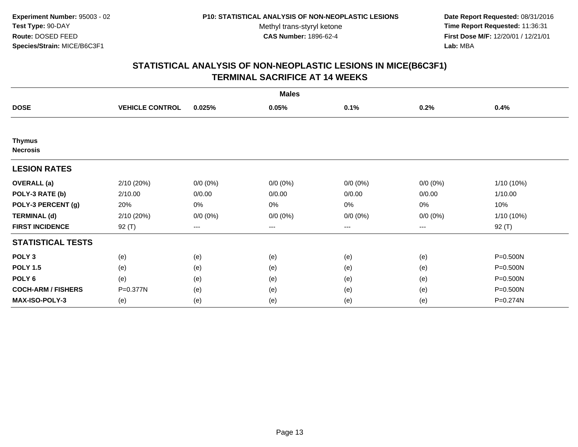**Date Report Requested:** 08/31/2016 **Time Report Requested:** 11:36:31 **First Dose M/F:** 12/20/01 / 12/21/01<br>Lab: MBA **Lab:** MBA

| <b>Males</b>                     |                        |             |             |             |             |            |
|----------------------------------|------------------------|-------------|-------------|-------------|-------------|------------|
| <b>DOSE</b>                      | <b>VEHICLE CONTROL</b> | 0.025%      | 0.05%       | 0.1%        | 0.2%        | 0.4%       |
|                                  |                        |             |             |             |             |            |
| <b>Thymus</b><br><b>Necrosis</b> |                        |             |             |             |             |            |
| <b>LESION RATES</b>              |                        |             |             |             |             |            |
| <b>OVERALL</b> (a)               | 2/10 (20%)             | $0/0 (0\%)$ | $0/0 (0\%)$ | $0/0 (0\%)$ | $0/0 (0\%)$ | 1/10 (10%) |
| POLY-3 RATE (b)                  | 2/10.00                | 0/0.00      | 0/0.00      | 0/0.00      | 0/0.00      | 1/10.00    |
| POLY-3 PERCENT (g)               | 20%                    | 0%          | 0%          | 0%          | 0%          | 10%        |
| <b>TERMINAL (d)</b>              | 2/10 (20%)             | $0/0 (0\%)$ | $0/0 (0\%)$ | $0/0 (0\%)$ | $0/0 (0\%)$ | 1/10 (10%) |
| <b>FIRST INCIDENCE</b>           | $92($ T)               | ---         | $--$        | $--$        | $--$        | 92 (T)     |
| <b>STATISTICAL TESTS</b>         |                        |             |             |             |             |            |
| POLY <sub>3</sub>                | (e)                    | (e)         | (e)         | (e)         | (e)         | P=0.500N   |
| <b>POLY 1.5</b>                  | (e)                    | (e)         | (e)         | (e)         | (e)         | P=0.500N   |
| POLY <sub>6</sub>                | (e)                    | (e)         | (e)         | (e)         | (e)         | P=0.500N   |
| <b>COCH-ARM / FISHERS</b>        | P=0.377N               | (e)         | (e)         | (e)         | (e)         | P=0.500N   |
| MAX-ISO-POLY-3                   | (e)                    | (e)         | (e)         | (e)         | (e)         | P=0.274N   |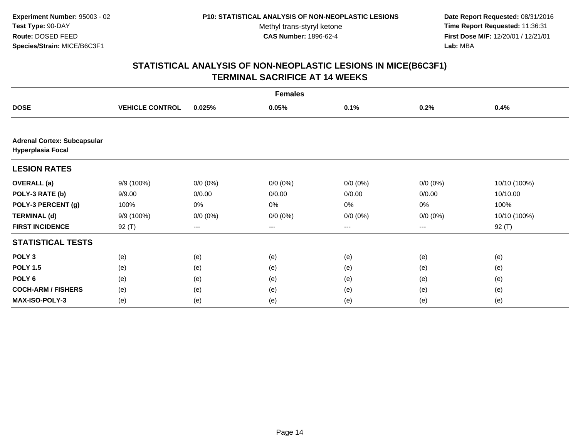**Date Report Requested:** 08/31/2016 **Time Report Requested:** 11:36:31 **First Dose M/F:** 12/20/01 / 12/21/01<br>Lab: MBA **Lab:** MBA

|                                                                | <b>Females</b>         |             |             |             |                        |              |  |  |  |
|----------------------------------------------------------------|------------------------|-------------|-------------|-------------|------------------------|--------------|--|--|--|
| <b>DOSE</b>                                                    | <b>VEHICLE CONTROL</b> | 0.025%      | 0.05%       | 0.1%        | 0.2%                   | 0.4%         |  |  |  |
|                                                                |                        |             |             |             |                        |              |  |  |  |
| <b>Adrenal Cortex: Subcapsular</b><br><b>Hyperplasia Focal</b> |                        |             |             |             |                        |              |  |  |  |
| <b>LESION RATES</b>                                            |                        |             |             |             |                        |              |  |  |  |
| <b>OVERALL</b> (a)                                             | 9/9 (100%)             | $0/0 (0\%)$ | $0/0 (0\%)$ | $0/0 (0\%)$ | $0/0 (0\%)$            | 10/10 (100%) |  |  |  |
| POLY-3 RATE (b)                                                | 9/9.00                 | 0/0.00      | 0/0.00      | 0/0.00      | 0/0.00                 | 10/10.00     |  |  |  |
| POLY-3 PERCENT (g)                                             | 100%                   | 0%          | 0%          | 0%          | 0%                     | 100%         |  |  |  |
| <b>TERMINAL (d)</b>                                            | 9/9 (100%)             | $0/0 (0\%)$ | $0/0 (0\%)$ | $0/0 (0\%)$ | $0/0 (0\%)$            | 10/10 (100%) |  |  |  |
| <b>FIRST INCIDENCE</b>                                         | 92 (T)                 | ---         | ---         | $---$       | $\qquad \qquad \cdots$ | $92($ T)     |  |  |  |
| <b>STATISTICAL TESTS</b>                                       |                        |             |             |             |                        |              |  |  |  |
| POLY <sub>3</sub>                                              | (e)                    | (e)         | (e)         | (e)         | (e)                    | (e)          |  |  |  |
| <b>POLY 1.5</b>                                                | (e)                    | (e)         | (e)         | (e)         | (e)                    | (e)          |  |  |  |
| POLY <sub>6</sub>                                              | (e)                    | (e)         | (e)         | (e)         | (e)                    | (e)          |  |  |  |
| <b>COCH-ARM / FISHERS</b>                                      | (e)                    | (e)         | (e)         | (e)         | (e)                    | (e)          |  |  |  |
| MAX-ISO-POLY-3                                                 | (e)                    | (e)         | (e)         | (e)         | (e)                    | (e)          |  |  |  |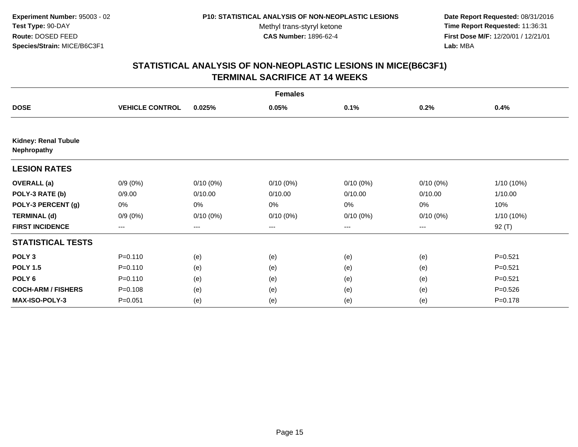**Date Report Requested:** 08/31/2016 **Time Report Requested:** 11:36:31 **First Dose M/F:** 12/20/01 / 12/21/01<br>Lab: MBA **Lab:** MBA

| <b>Females</b>                             |                        |                   |             |             |             |             |  |  |
|--------------------------------------------|------------------------|-------------------|-------------|-------------|-------------|-------------|--|--|
| <b>DOSE</b>                                | <b>VEHICLE CONTROL</b> | 0.025%            | 0.05%       | 0.1%        | 0.2%        | 0.4%        |  |  |
|                                            |                        |                   |             |             |             |             |  |  |
| <b>Kidney: Renal Tubule</b><br>Nephropathy |                        |                   |             |             |             |             |  |  |
| <b>LESION RATES</b>                        |                        |                   |             |             |             |             |  |  |
| <b>OVERALL</b> (a)                         | $0/9(0\%)$             | $0/10(0\%)$       | $0/10(0\%)$ | $0/10(0\%)$ | $0/10(0\%)$ | 1/10 (10%)  |  |  |
| POLY-3 RATE (b)                            | 0/9.00                 | 0/10.00           | 0/10.00     | 0/10.00     | 0/10.00     | 1/10.00     |  |  |
| POLY-3 PERCENT (g)                         | 0%                     | 0%                | 0%          | 0%          | 0%          | 10%         |  |  |
| <b>TERMINAL (d)</b>                        | $0/9(0\%)$             | $0/10(0\%)$       | $0/10(0\%)$ | $0/10(0\%)$ | $0/10(0\%)$ | 1/10 (10%)  |  |  |
| <b>FIRST INCIDENCE</b>                     | ---                    | $\qquad \qquad -$ | ---         | ---         | $\cdots$    | 92 (T)      |  |  |
| <b>STATISTICAL TESTS</b>                   |                        |                   |             |             |             |             |  |  |
| POLY <sub>3</sub>                          | $P = 0.110$            | (e)               | (e)         | (e)         | (e)         | $P = 0.521$ |  |  |
| <b>POLY 1.5</b>                            | $P = 0.110$            | (e)               | (e)         | (e)         | (e)         | $P = 0.521$ |  |  |
| POLY <sub>6</sub>                          | $P = 0.110$            | (e)               | (e)         | (e)         | (e)         | $P = 0.521$ |  |  |
| <b>COCH-ARM / FISHERS</b>                  | $P = 0.108$            | (e)               | (e)         | (e)         | (e)         | $P = 0.526$ |  |  |
| MAX-ISO-POLY-3                             | $P = 0.051$            | (e)               | (e)         | (e)         | (e)         | $P=0.178$   |  |  |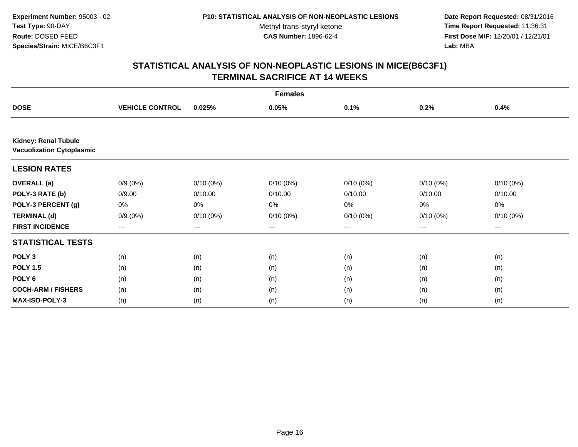**Date Report Requested:** 08/31/2016 **Time Report Requested:** 11:36:31 **First Dose M/F:** 12/20/01 / 12/21/01<br>Lab: MBA **Lab:** MBA

|                                                                 | <b>Females</b>         |             |             |             |             |             |  |  |  |
|-----------------------------------------------------------------|------------------------|-------------|-------------|-------------|-------------|-------------|--|--|--|
| <b>DOSE</b>                                                     | <b>VEHICLE CONTROL</b> | 0.025%      | 0.05%       | 0.1%        | 0.2%        | 0.4%        |  |  |  |
|                                                                 |                        |             |             |             |             |             |  |  |  |
| <b>Kidney: Renal Tubule</b><br><b>Vacuolization Cytoplasmic</b> |                        |             |             |             |             |             |  |  |  |
| <b>LESION RATES</b>                                             |                        |             |             |             |             |             |  |  |  |
| <b>OVERALL</b> (a)                                              | $0/9(0\%)$             | $0/10(0\%)$ | $0/10(0\%)$ | $0/10(0\%)$ | $0/10(0\%)$ | $0/10(0\%)$ |  |  |  |
| POLY-3 RATE (b)                                                 | 0/9.00                 | 0/10.00     | 0/10.00     | 0/10.00     | 0/10.00     | 0/10.00     |  |  |  |
| POLY-3 PERCENT (g)                                              | 0%                     | 0%          | 0%          | 0%          | 0%          | 0%          |  |  |  |
| <b>TERMINAL (d)</b>                                             | $0/9(0\%)$             | $0/10(0\%)$ | 0/10(0%)    | $0/10(0\%)$ | 0/10(0%)    | $0/10(0\%)$ |  |  |  |
| <b>FIRST INCIDENCE</b>                                          | ---                    | ---         | ---         | $--$        | ---         | ---         |  |  |  |
| <b>STATISTICAL TESTS</b>                                        |                        |             |             |             |             |             |  |  |  |
| POLY <sub>3</sub>                                               | (n)                    | (n)         | (n)         | (n)         | (n)         | (n)         |  |  |  |
| <b>POLY 1.5</b>                                                 | (n)                    | (n)         | (n)         | (n)         | (n)         | (n)         |  |  |  |
| POLY 6                                                          | (n)                    | (n)         | (n)         | (n)         | (n)         | (n)         |  |  |  |
| <b>COCH-ARM / FISHERS</b>                                       | (n)                    | (n)         | (n)         | (n)         | (n)         | (n)         |  |  |  |
| MAX-ISO-POLY-3                                                  | (n)                    | (n)         | (n)         | (n)         | (n)         | (n)         |  |  |  |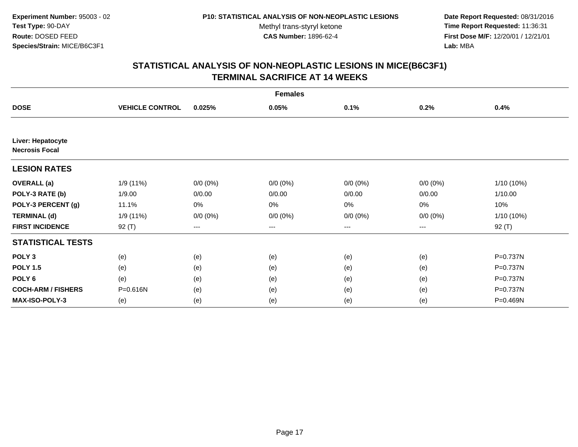**Date Report Requested:** 08/31/2016 **Time Report Requested:** 11:36:31 **First Dose M/F:** 12/20/01 / 12/21/01<br>Lab: MBA **Lab:** MBA

|                                            | <b>Females</b>         |                   |             |             |                        |              |  |  |  |
|--------------------------------------------|------------------------|-------------------|-------------|-------------|------------------------|--------------|--|--|--|
| <b>DOSE</b>                                | <b>VEHICLE CONTROL</b> | 0.025%            | 0.05%       | 0.1%        | 0.2%                   | 0.4%         |  |  |  |
|                                            |                        |                   |             |             |                        |              |  |  |  |
| Liver: Hepatocyte<br><b>Necrosis Focal</b> |                        |                   |             |             |                        |              |  |  |  |
| <b>LESION RATES</b>                        |                        |                   |             |             |                        |              |  |  |  |
| <b>OVERALL</b> (a)                         | 1/9 (11%)              | $0/0 (0\%)$       | $0/0 (0\%)$ | $0/0 (0\%)$ | $0/0 (0\%)$            | $1/10(10\%)$ |  |  |  |
| POLY-3 RATE (b)                            | 1/9.00                 | 0/0.00            | 0/0.00      | 0/0.00      | 0/0.00                 | 1/10.00      |  |  |  |
| POLY-3 PERCENT (g)                         | 11.1%                  | 0%                | 0%          | 0%          | $0\%$                  | 10%          |  |  |  |
| <b>TERMINAL (d)</b>                        | 1/9(11%)               | $0/0 (0\%)$       | $0/0 (0\%)$ | $0/0 (0\%)$ | $0/0 (0\%)$            | $1/10(10\%)$ |  |  |  |
| <b>FIRST INCIDENCE</b>                     | $92($ T)               | $\qquad \qquad -$ | ---         | $\cdots$    | $\qquad \qquad \cdots$ | 92 (T)       |  |  |  |
| <b>STATISTICAL TESTS</b>                   |                        |                   |             |             |                        |              |  |  |  |
| POLY <sub>3</sub>                          | (e)                    | (e)               | (e)         | (e)         | (e)                    | P=0.737N     |  |  |  |
| <b>POLY 1.5</b>                            | (e)                    | (e)               | (e)         | (e)         | (e)                    | P=0.737N     |  |  |  |
| POLY <sub>6</sub>                          | (e)                    | (e)               | (e)         | (e)         | (e)                    | P=0.737N     |  |  |  |
| <b>COCH-ARM / FISHERS</b>                  | P=0.616N               | (e)               | (e)         | (e)         | (e)                    | P=0.737N     |  |  |  |
| MAX-ISO-POLY-3                             | (e)                    | (e)               | (e)         | (e)         | (e)                    | P=0.469N     |  |  |  |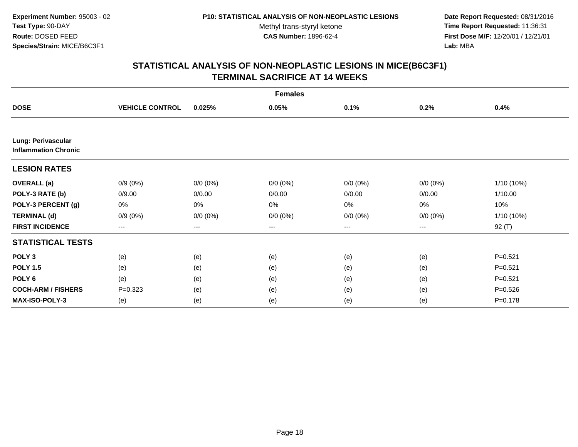**Date Report Requested:** 08/31/2016 **Time Report Requested:** 11:36:31 **First Dose M/F:** 12/20/01 / 12/21/01<br>Lab: MBA **Lab:** MBA

|                                                   | <b>Females</b>         |             |             |             |             |              |  |  |  |
|---------------------------------------------------|------------------------|-------------|-------------|-------------|-------------|--------------|--|--|--|
| <b>DOSE</b>                                       | <b>VEHICLE CONTROL</b> | 0.025%      | 0.05%       | 0.1%        | 0.2%        | 0.4%         |  |  |  |
|                                                   |                        |             |             |             |             |              |  |  |  |
| Lung: Perivascular<br><b>Inflammation Chronic</b> |                        |             |             |             |             |              |  |  |  |
| <b>LESION RATES</b>                               |                        |             |             |             |             |              |  |  |  |
| <b>OVERALL</b> (a)                                | $0/9(0\%)$             | $0/0 (0\%)$ | $0/0 (0\%)$ | $0/0 (0\%)$ | $0/0 (0\%)$ | $1/10(10\%)$ |  |  |  |
| POLY-3 RATE (b)                                   | 0/9.00                 | 0/0.00      | 0/0.00      | 0/0.00      | 0/0.00      | 1/10.00      |  |  |  |
| POLY-3 PERCENT (g)                                | 0%                     | 0%          | 0%          | 0%          | 0%          | 10%          |  |  |  |
| <b>TERMINAL (d)</b>                               | $0/9(0\%)$             | $0/0 (0\%)$ | $0/0 (0\%)$ | $0/0 (0\%)$ | $0/0 (0\%)$ | 1/10 (10%)   |  |  |  |
| <b>FIRST INCIDENCE</b>                            | ---                    | ---         | $\cdots$    | ---         | ---         | 92 (T)       |  |  |  |
| <b>STATISTICAL TESTS</b>                          |                        |             |             |             |             |              |  |  |  |
| POLY <sub>3</sub>                                 | (e)                    | (e)         | (e)         | (e)         | (e)         | $P = 0.521$  |  |  |  |
| <b>POLY 1.5</b>                                   | (e)                    | (e)         | (e)         | (e)         | (e)         | $P = 0.521$  |  |  |  |
| POLY 6                                            | (e)                    | (e)         | (e)         | (e)         | (e)         | $P=0.521$    |  |  |  |
| <b>COCH-ARM / FISHERS</b>                         | $P=0.323$              | (e)         | (e)         | (e)         | (e)         | $P = 0.526$  |  |  |  |
| <b>MAX-ISO-POLY-3</b>                             | (e)                    | (e)         | (e)         | (e)         | (e)         | $P = 0.178$  |  |  |  |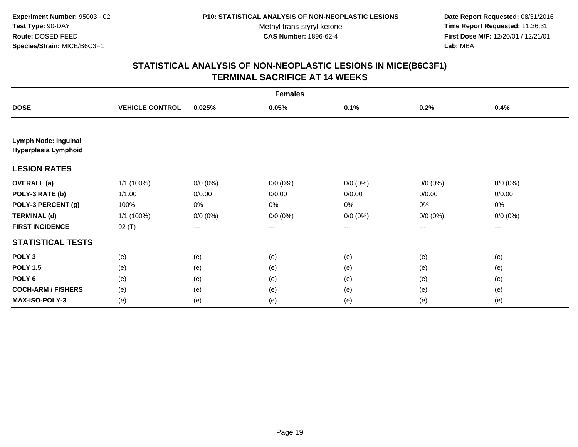**Date Report Requested:** 08/31/2016 **Time Report Requested:** 11:36:31 **First Dose M/F:** 12/20/01 / 12/21/01<br>Lab: MBA **Lab:** MBA

| <b>Females</b>                                      |                        |             |             |                        |             |             |  |  |
|-----------------------------------------------------|------------------------|-------------|-------------|------------------------|-------------|-------------|--|--|
| <b>DOSE</b>                                         | <b>VEHICLE CONTROL</b> | 0.025%      | 0.05%       | 0.1%                   | 0.2%        | 0.4%        |  |  |
|                                                     |                        |             |             |                        |             |             |  |  |
| <b>Lymph Node: Inguinal</b><br>Hyperplasia Lymphoid |                        |             |             |                        |             |             |  |  |
| <b>LESION RATES</b>                                 |                        |             |             |                        |             |             |  |  |
| <b>OVERALL</b> (a)                                  | 1/1 (100%)             | $0/0 (0\%)$ | $0/0 (0\%)$ | $0/0 (0\%)$            | $0/0 (0\%)$ | $0/0 (0\%)$ |  |  |
| POLY-3 RATE (b)                                     | 1/1.00                 | 0/0.00      | 0/0.00      | 0/0.00                 | 0/0.00      | 0/0.00      |  |  |
| POLY-3 PERCENT (g)                                  | 100%                   | 0%          | 0%          | 0%                     | $0\%$       | 0%          |  |  |
| <b>TERMINAL (d)</b>                                 | 1/1 (100%)             | $0/0 (0\%)$ | $0/0 (0\%)$ | $0/0 (0\%)$            | $0/0 (0\%)$ | $0/0 (0\%)$ |  |  |
| <b>FIRST INCIDENCE</b>                              | 92 (T)                 | $---$       | ---         | $\qquad \qquad \cdots$ | ---         | ---         |  |  |
| <b>STATISTICAL TESTS</b>                            |                        |             |             |                        |             |             |  |  |
| POLY <sub>3</sub>                                   | (e)                    | (e)         | (e)         | (e)                    | (e)         | (e)         |  |  |
| <b>POLY 1.5</b>                                     | (e)                    | (e)         | (e)         | (e)                    | (e)         | (e)         |  |  |
| POLY <sub>6</sub>                                   | (e)                    | (e)         | (e)         | (e)                    | (e)         | (e)         |  |  |
| <b>COCH-ARM / FISHERS</b>                           | (e)                    | (e)         | (e)         | (e)                    | (e)         | (e)         |  |  |
| MAX-ISO-POLY-3                                      | (e)                    | (e)         | (e)         | (e)                    | (e)         | (e)         |  |  |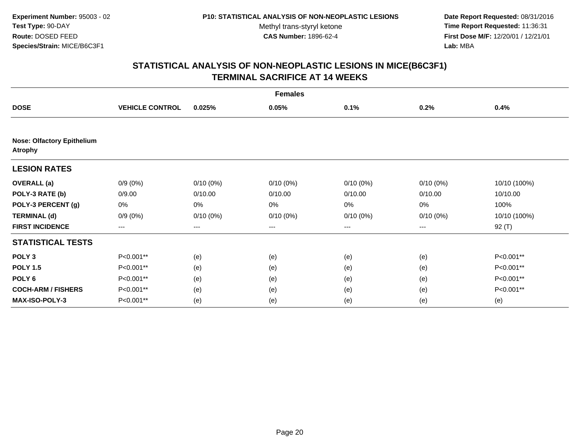**Date Report Requested:** 08/31/2016 **Time Report Requested:** 11:36:31 **First Dose M/F:** 12/20/01 / 12/21/01<br>Lab: MBA **Lab:** MBA

|                                                     | <b>Females</b>         |             |             |             |             |              |  |  |  |
|-----------------------------------------------------|------------------------|-------------|-------------|-------------|-------------|--------------|--|--|--|
| <b>DOSE</b>                                         | <b>VEHICLE CONTROL</b> | 0.025%      | 0.05%       | 0.1%        | 0.2%        | 0.4%         |  |  |  |
|                                                     |                        |             |             |             |             |              |  |  |  |
| <b>Nose: Olfactory Epithelium</b><br><b>Atrophy</b> |                        |             |             |             |             |              |  |  |  |
| <b>LESION RATES</b>                                 |                        |             |             |             |             |              |  |  |  |
| <b>OVERALL</b> (a)                                  | $0/9(0\%)$             | $0/10(0\%)$ | $0/10(0\%)$ | $0/10(0\%)$ | $0/10(0\%)$ | 10/10 (100%) |  |  |  |
| POLY-3 RATE (b)                                     | 0/9.00                 | 0/10.00     | 0/10.00     | 0/10.00     | 0/10.00     | 10/10.00     |  |  |  |
| POLY-3 PERCENT (g)                                  | 0%                     | 0%          | 0%          | 0%          | 0%          | 100%         |  |  |  |
| <b>TERMINAL (d)</b>                                 | $0/9(0\%)$             | $0/10(0\%)$ | $0/10(0\%)$ | 0/10(0%)    | 0/10(0%)    | 10/10 (100%) |  |  |  |
| <b>FIRST INCIDENCE</b>                              | $\qquad \qquad \cdots$ | $---$       | ---         | ---         | $---$       | 92( T )      |  |  |  |
| <b>STATISTICAL TESTS</b>                            |                        |             |             |             |             |              |  |  |  |
| POLY <sub>3</sub>                                   | P<0.001**              | (e)         | (e)         | (e)         | (e)         | P<0.001**    |  |  |  |
| <b>POLY 1.5</b>                                     | P<0.001**              | (e)         | (e)         | (e)         | (e)         | P<0.001**    |  |  |  |
| POLY <sub>6</sub>                                   | P<0.001**              | (e)         | (e)         | (e)         | (e)         | P<0.001**    |  |  |  |
| <b>COCH-ARM / FISHERS</b>                           | P<0.001**              | (e)         | (e)         | (e)         | (e)         | P<0.001**    |  |  |  |
| <b>MAX-ISO-POLY-3</b>                               | P<0.001**              | (e)         | (e)         | (e)         | (e)         | (e)          |  |  |  |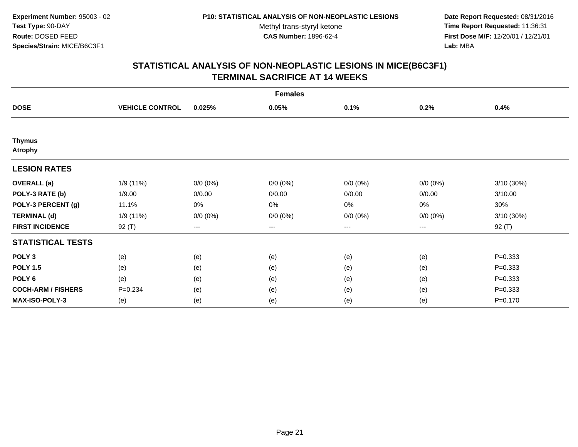**Date Report Requested:** 08/31/2016 **Time Report Requested:** 11:36:31 **First Dose M/F:** 12/20/01 / 12/21/01<br>Lab: MBA **Lab:** MBA

| <b>Females</b>                  |                        |                        |             |             |             |              |  |  |
|---------------------------------|------------------------|------------------------|-------------|-------------|-------------|--------------|--|--|
| <b>DOSE</b>                     | <b>VEHICLE CONTROL</b> | 0.025%                 | 0.05%       | 0.1%        | 0.2%        | 0.4%         |  |  |
|                                 |                        |                        |             |             |             |              |  |  |
| <b>Thymus</b><br><b>Atrophy</b> |                        |                        |             |             |             |              |  |  |
| <b>LESION RATES</b>             |                        |                        |             |             |             |              |  |  |
| <b>OVERALL</b> (a)              | 1/9 (11%)              | $0/0 (0\%)$            | $0/0 (0\%)$ | $0/0 (0\%)$ | $0/0(0\%)$  | 3/10 (30%)   |  |  |
| POLY-3 RATE (b)                 | 1/9.00                 | 0/0.00                 | 0/0.00      | 0/0.00      | 0/0.00      | 3/10.00      |  |  |
| POLY-3 PERCENT (g)              | 11.1%                  | 0%                     | 0%          | 0%          | 0%          | 30%          |  |  |
| <b>TERMINAL (d)</b>             | 1/9 (11%)              | $0/0 (0\%)$            | $0/0 (0\%)$ | $0/0 (0\%)$ | $0/0 (0\%)$ | $3/10(30\%)$ |  |  |
| <b>FIRST INCIDENCE</b>          | 92( T )                | $\qquad \qquad \cdots$ | $---$       | ---         | ---         | 92 (T)       |  |  |
| <b>STATISTICAL TESTS</b>        |                        |                        |             |             |             |              |  |  |
| POLY <sub>3</sub>               | (e)                    | (e)                    | (e)         | (e)         | (e)         | $P = 0.333$  |  |  |
| <b>POLY 1.5</b>                 | (e)                    | (e)                    | (e)         | (e)         | (e)         | $P = 0.333$  |  |  |
| POLY <sub>6</sub>               | (e)                    | (e)                    | (e)         | (e)         | (e)         | $P = 0.333$  |  |  |
| <b>COCH-ARM / FISHERS</b>       | $P = 0.234$            | (e)                    | (e)         | (e)         | (e)         | $P = 0.333$  |  |  |
| <b>MAX-ISO-POLY-3</b>           | (e)                    | (e)                    | (e)         | (e)         | (e)         | $P = 0.170$  |  |  |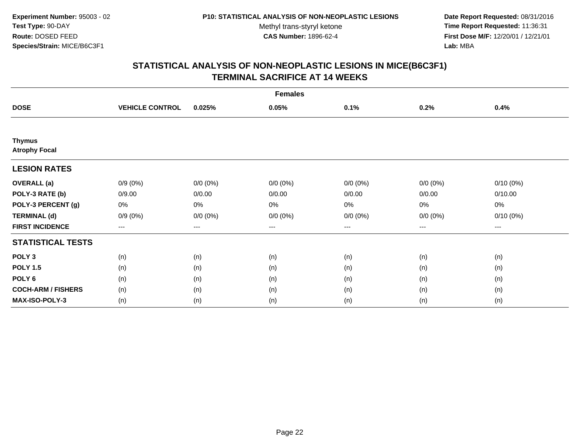**Date Report Requested:** 08/31/2016 **Time Report Requested:** 11:36:31 **First Dose M/F:** 12/20/01 / 12/21/01<br>Lab: MBA **Lab:** MBA

| <b>Females</b>                        |                        |             |             |             |             |             |  |  |
|---------------------------------------|------------------------|-------------|-------------|-------------|-------------|-------------|--|--|
| <b>DOSE</b>                           | <b>VEHICLE CONTROL</b> | 0.025%      | 0.05%       | 0.1%        | 0.2%        | 0.4%        |  |  |
|                                       |                        |             |             |             |             |             |  |  |
| <b>Thymus</b><br><b>Atrophy Focal</b> |                        |             |             |             |             |             |  |  |
| <b>LESION RATES</b>                   |                        |             |             |             |             |             |  |  |
| <b>OVERALL</b> (a)                    | $0/9(0\%)$             | $0/0 (0\%)$ | $0/0 (0\%)$ | $0/0 (0\%)$ | $0/0 (0\%)$ | $0/10(0\%)$ |  |  |
| POLY-3 RATE (b)                       | 0/9.00                 | 0/0.00      | 0/0.00      | 0/0.00      | 0/0.00      | 0/10.00     |  |  |
| POLY-3 PERCENT (g)                    | 0%                     | $0\%$       | 0%          | 0%          | 0%          | 0%          |  |  |
| <b>TERMINAL (d)</b>                   | $0/9(0\%)$             | $0/0 (0\%)$ | $0/0 (0\%)$ | $0/0 (0\%)$ | $0/0 (0\%)$ | $0/10(0\%)$ |  |  |
| <b>FIRST INCIDENCE</b>                | $\cdots$               | $--$        | ---         | ---         | ---         | $--$        |  |  |
| <b>STATISTICAL TESTS</b>              |                        |             |             |             |             |             |  |  |
| POLY <sub>3</sub>                     | (n)                    | (n)         | (n)         | (n)         | (n)         | (n)         |  |  |
| <b>POLY 1.5</b>                       | (n)                    | (n)         | (n)         | (n)         | (n)         | (n)         |  |  |
| POLY <sub>6</sub>                     | (n)                    | (n)         | (n)         | (n)         | (n)         | (n)         |  |  |
| <b>COCH-ARM / FISHERS</b>             | (n)                    | (n)         | (n)         | (n)         | (n)         | (n)         |  |  |
| MAX-ISO-POLY-3                        | (n)                    | (n)         | (n)         | (n)         | (n)         | (n)         |  |  |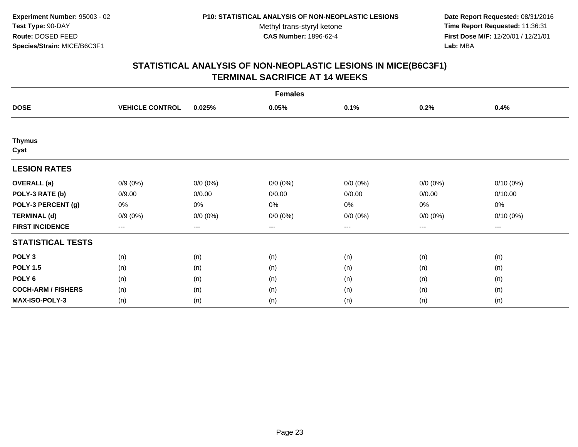**Date Report Requested:** 08/31/2016 **Time Report Requested:** 11:36:31 **First Dose M/F:** 12/20/01 / 12/21/01<br>Lab: MBA **Lab:** MBA

| <b>Females</b>            |                        |             |             |             |             |             |  |  |
|---------------------------|------------------------|-------------|-------------|-------------|-------------|-------------|--|--|
| <b>DOSE</b>               | <b>VEHICLE CONTROL</b> | 0.025%      | 0.05%       | 0.1%        | 0.2%        | 0.4%        |  |  |
|                           |                        |             |             |             |             |             |  |  |
| <b>Thymus</b><br>Cyst     |                        |             |             |             |             |             |  |  |
| <b>LESION RATES</b>       |                        |             |             |             |             |             |  |  |
| <b>OVERALL</b> (a)        | $0/9(0\%)$             | $0/0 (0\%)$ | $0/0 (0\%)$ | $0/0 (0\%)$ | $0/0 (0\%)$ | $0/10(0\%)$ |  |  |
| POLY-3 RATE (b)           | 0/9.00                 | 0/0.00      | 0/0.00      | 0/0.00      | 0/0.00      | 0/10.00     |  |  |
| POLY-3 PERCENT (g)        | 0%                     | $0\%$       | 0%          | 0%          | 0%          | 0%          |  |  |
| <b>TERMINAL (d)</b>       | $0/9(0\%)$             | $0/0 (0\%)$ | $0/0 (0\%)$ | $0/0 (0\%)$ | $0/0 (0\%)$ | $0/10(0\%)$ |  |  |
| <b>FIRST INCIDENCE</b>    | $--$                   | $--$        | ---         | ---         | ---         | $--$        |  |  |
| <b>STATISTICAL TESTS</b>  |                        |             |             |             |             |             |  |  |
| POLY <sub>3</sub>         | (n)                    | (n)         | (n)         | (n)         | (n)         | (n)         |  |  |
| <b>POLY 1.5</b>           | (n)                    | (n)         | (n)         | (n)         | (n)         | (n)         |  |  |
| POLY <sub>6</sub>         | (n)                    | (n)         | (n)         | (n)         | (n)         | (n)         |  |  |
| <b>COCH-ARM / FISHERS</b> | (n)                    | (n)         | (n)         | (n)         | (n)         | (n)         |  |  |
| MAX-ISO-POLY-3            | (n)                    | (n)         | (n)         | (n)         | (n)         | (n)         |  |  |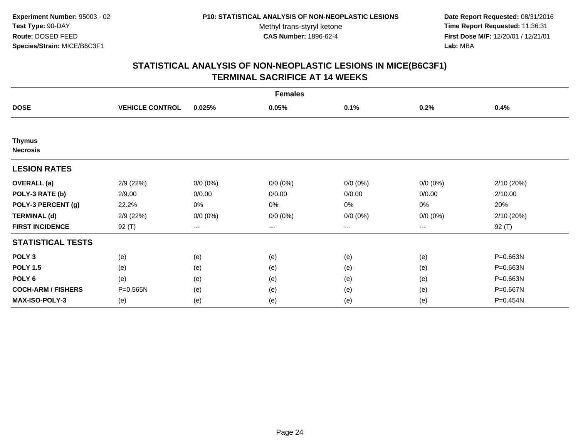**Date Report Requested:** 08/31/2016 **Time Report Requested:** 11:36:31 **First Dose M/F:** 12/20/01 / 12/21/01<br>Lab: MBA **Lab:** MBA

| <b>Females</b>                   |                        |             |             |             |             |            |  |  |
|----------------------------------|------------------------|-------------|-------------|-------------|-------------|------------|--|--|
| <b>DOSE</b>                      | <b>VEHICLE CONTROL</b> | 0.025%      | 0.05%       | 0.1%        | 0.2%        | 0.4%       |  |  |
|                                  |                        |             |             |             |             |            |  |  |
| <b>Thymus</b><br><b>Necrosis</b> |                        |             |             |             |             |            |  |  |
| <b>LESION RATES</b>              |                        |             |             |             |             |            |  |  |
| <b>OVERALL</b> (a)               | 2/9(22%)               | $0/0 (0\%)$ | $0/0 (0\%)$ | $0/0 (0\%)$ | $0/0 (0\%)$ | 2/10 (20%) |  |  |
| POLY-3 RATE (b)                  | 2/9.00                 | 0/0.00      | 0/0.00      | 0/0.00      | 0/0.00      | 2/10.00    |  |  |
| POLY-3 PERCENT (g)               | 22.2%                  | $0\%$       | 0%          | 0%          | 0%          | 20%        |  |  |
| <b>TERMINAL (d)</b>              | 2/9(22%)               | $0/0 (0\%)$ | $0/0 (0\%)$ | $0/0 (0\%)$ | $0/0 (0\%)$ | 2/10(20%)  |  |  |
| <b>FIRST INCIDENCE</b>           | 92( T )                | $--$        | ---         | ---         | ---         | 92 (T)     |  |  |
| <b>STATISTICAL TESTS</b>         |                        |             |             |             |             |            |  |  |
| POLY <sub>3</sub>                | (e)                    | (e)         | (e)         | (e)         | (e)         | P=0.663N   |  |  |
| <b>POLY 1.5</b>                  | (e)                    | (e)         | (e)         | (e)         | (e)         | P=0.663N   |  |  |
| POLY <sub>6</sub>                | (e)                    | (e)         | (e)         | (e)         | (e)         | P=0.663N   |  |  |
| <b>COCH-ARM / FISHERS</b>        | P=0.565N               | (e)         | (e)         | (e)         | (e)         | P=0.667N   |  |  |
| MAX-ISO-POLY-3                   | (e)                    | (e)         | (e)         | (e)         | (e)         | P=0.454N   |  |  |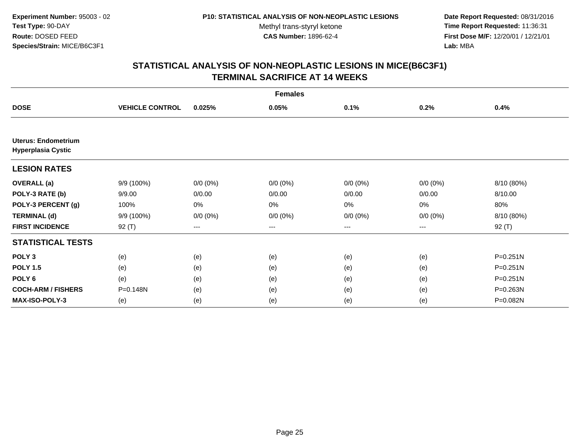**Date Report Requested:** 08/31/2016 **Time Report Requested:** 11:36:31 **First Dose M/F:** 12/20/01 / 12/21/01<br>Lab: MBA **Lab:** MBA

| <b>Females</b>                                          |                        |             |             |             |                   |              |  |  |
|---------------------------------------------------------|------------------------|-------------|-------------|-------------|-------------------|--------------|--|--|
| <b>DOSE</b>                                             | <b>VEHICLE CONTROL</b> | 0.025%      | 0.05%       | 0.1%        | 0.2%              | 0.4%         |  |  |
|                                                         |                        |             |             |             |                   |              |  |  |
| <b>Uterus: Endometrium</b><br><b>Hyperplasia Cystic</b> |                        |             |             |             |                   |              |  |  |
| <b>LESION RATES</b>                                     |                        |             |             |             |                   |              |  |  |
| <b>OVERALL</b> (a)                                      | 9/9 (100%)             | $0/0 (0\%)$ | $0/0 (0\%)$ | $0/0 (0\%)$ | $0/0 (0\%)$       | 8/10 (80%)   |  |  |
| POLY-3 RATE (b)                                         | 9/9.00                 | 0/0.00      | 0/0.00      | 0/0.00      | 0/0.00            | 8/10.00      |  |  |
| POLY-3 PERCENT (g)                                      | 100%                   | 0%          | 0%          | 0%          | 0%                | 80%          |  |  |
| <b>TERMINAL (d)</b>                                     | 9/9 (100%)             | $0/0 (0\%)$ | $0/0 (0\%)$ | $0/0 (0\%)$ | $0/0 (0\%)$       | 8/10 (80%)   |  |  |
| <b>FIRST INCIDENCE</b>                                  | $92($ T)               | ---         | ---         | $--$        | $\qquad \qquad -$ | 92 (T)       |  |  |
| <b>STATISTICAL TESTS</b>                                |                        |             |             |             |                   |              |  |  |
| POLY <sub>3</sub>                                       | (e)                    | (e)         | (e)         | (e)         | (e)               | $P = 0.251N$ |  |  |
| <b>POLY 1.5</b>                                         | (e)                    | (e)         | (e)         | (e)         | (e)               | $P = 0.251N$ |  |  |
| POLY <sub>6</sub>                                       | (e)                    | (e)         | (e)         | (e)         | (e)               | $P = 0.251N$ |  |  |
| <b>COCH-ARM / FISHERS</b>                               | P=0.148N               | (e)         | (e)         | (e)         | (e)               | P=0.263N     |  |  |
| <b>MAX-ISO-POLY-3</b>                                   | (e)                    | (e)         | (e)         | (e)         | (e)               | P=0.082N     |  |  |